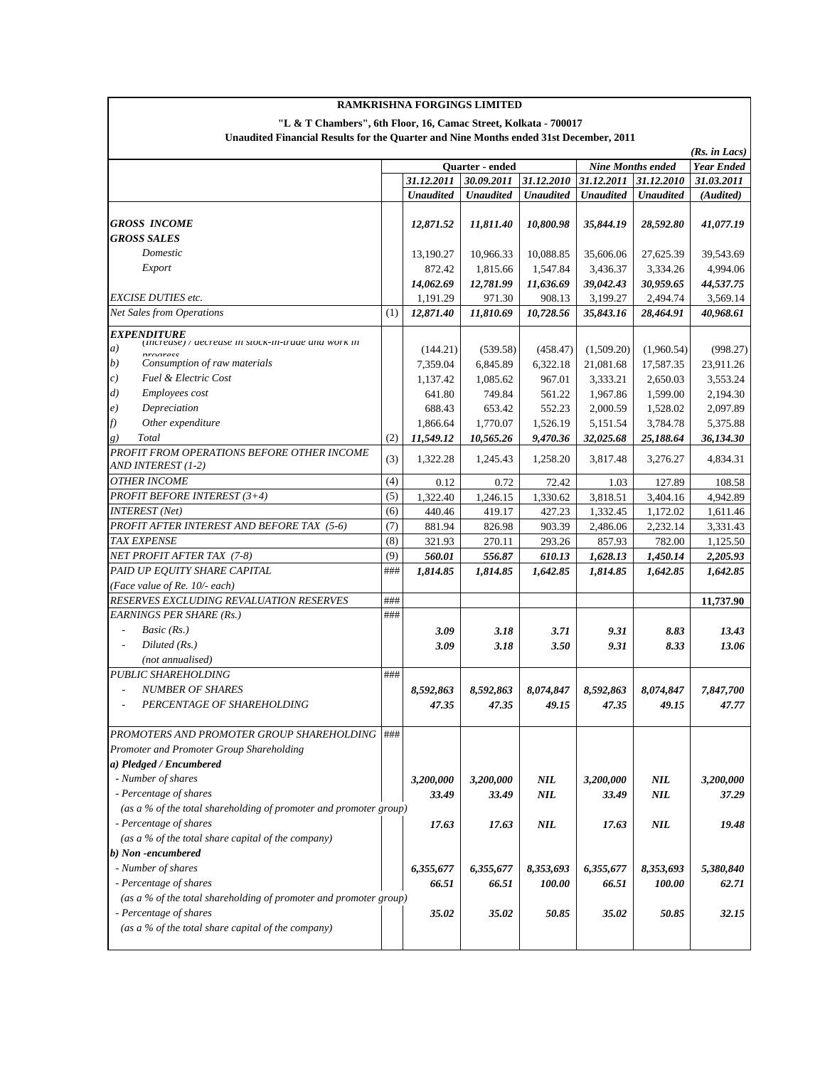| <b>RAMKRISHNA FORGINGS LIMITED</b><br>"L & T Chambers", 6th Floor, 16, Camac Street, Kolkata - 700017 |     |                  |                        |                  |                  |                          |                   |
|-------------------------------------------------------------------------------------------------------|-----|------------------|------------------------|------------------|------------------|--------------------------|-------------------|
|                                                                                                       |     |                  |                        |                  |                  |                          |                   |
| (Rs. in Lacs)                                                                                         |     |                  |                        |                  |                  |                          |                   |
|                                                                                                       |     |                  | <b>Ouarter</b> - ended |                  |                  | <b>Nine Months ended</b> | <b>Year Ended</b> |
|                                                                                                       |     | 31.12.2011       | 30.09.2011             | 31.12.2010       | 31.12.2011       | 31.12.2010               | 31.03.2011        |
|                                                                                                       |     | <b>Unaudited</b> | <b>Unaudited</b>       | <b>Unaudited</b> | <b>Unaudited</b> | <b>Unaudited</b>         | (Audited)         |
| <b>GROSS INCOME</b>                                                                                   |     | 12,871.52        | 11,811.40              | 10,800.98        | 35,844.19        | 28,592.80                | 41,077.19         |
| <b>GROSS SALES</b>                                                                                    |     |                  |                        |                  |                  |                          |                   |
| Domestic                                                                                              |     | 13.190.27        | 10.966.33              | 10,088.85        | 35,606.06        | 27,625.39                | 39,543.69         |
| Export                                                                                                |     | 872.42           | 1,815.66               | 1,547.84         | 3,436.37         | 3,334.26                 | 4,994.06          |
|                                                                                                       |     | 14,062.69        | 12,781.99              | 11,636.69        | 39,042.43        | 30,959.65                | 44,537.75         |
| <b>EXCISE DUTIES etc.</b>                                                                             |     | 1,191.29         | 971.30                 | 908.13           | 3,199.27         | 2,494.74                 | 3,569.14          |
| <b>Net Sales from Operations</b>                                                                      | (1) | 12,871.40        | 11,810.69              | 10,728.56        | 35,843.16        | 28,464.91                | 40,968.61         |
| <i><b>EXPENDITURE</b></i>                                                                             |     |                  |                        |                  |                  |                          |                   |
| (Increase) / aecrease in stock-in-traae ana work in<br>a)                                             |     | (144.21)         | (539.58)               | (458.47)         | (1,509.20)       | (1,960.54)               | (998.27)          |
| nroaracc<br>b)<br>Consumption of raw materials                                                        |     | 7,359.04         | 6,845.89               | 6,322.18         | 21,081.68        | 17,587.35                | 23,911.26         |
| Fuel & Electric Cost<br>c)                                                                            |     | 1.137.42         |                        | 967.01           | 3,333.21         | 2,650.03                 | 3,553.24          |
| Employees cost<br>$\left( d\right)$                                                                   |     | 641.80           | 1,085.62<br>749.84     | 561.22           | 1,967.86         |                          | 2,194.30          |
| Depreciation                                                                                          |     |                  | 653.42                 |                  |                  | 1,599.00                 |                   |
| $\epsilon)$                                                                                           |     | 688.43           |                        | 552.23           | 2,000.59         | 1,528.02                 | 2,097.89          |
| Other expenditure<br>f)                                                                               |     | 1.866.64         | 1,770.07               | 1,526.19         | 5,151.54         | 3,784.78                 | 5,375.88          |
| Total<br>g)                                                                                           | (2) | 11,549.12        | 10,565.26              | 9,470.36         | 32,025.68        | 25,188.64                | 36,134.30         |
| PROFIT FROM OPERATIONS BEFORE OTHER INCOME<br>AND INTEREST (1-2)                                      | (3) | 1,322.28         | 1,245.43               | 1,258.20         | 3,817.48         | 3,276.27                 | 4,834.31          |
| <b>OTHER INCOME</b>                                                                                   | (4) | 0.12             | 0.72                   | 72.42            | 1.03             | 127.89                   | 108.58            |
| <b>PROFIT BEFORE INTEREST (3+4)</b>                                                                   | (5) | 1,322.40         | 1,246.15               | 1,330.62         | 3,818.51         | 3,404.16                 | 4,942.89          |
| <b>INTEREST</b> (Net)                                                                                 | (6) | 440.46           | 419.17                 | 427.23           | 1,332.45         | 1,172.02                 | 1,611.46          |
| PROFIT AFTER INTEREST AND BEFORE TAX (5-6)                                                            | (7) | 881.94           | 826.98                 | 903.39           | 2,486.06         | 2,232.14                 | 3,331.43          |
| TAX EXPENSE                                                                                           | (8) | 321.93           | 270.11                 | 293.26           | 857.93           | 782.00                   | 1,125.50          |
| NET PROFIT AFTER TAX (7-8)                                                                            | (9) | 560.01           | 556.87                 | 610.13           | 1,628.13         | 1,450.14                 | 2,205.93          |
| PAID UP EQUITY SHARE CAPITAL                                                                          | ### | 1,814.85         | 1,814.85               | 1,642.85         | 1,814.85         | 1,642.85                 | 1,642.85          |
| (Face value of Re. 10/- each)                                                                         |     |                  |                        |                  |                  |                          |                   |
| RESERVES EXCLUDING REVALUATION RESERVES                                                               | ### |                  |                        |                  |                  |                          | 11,737.90         |
| <b>EARNINGS PER SHARE (Rs.)</b>                                                                       | ### |                  |                        |                  |                  |                          |                   |
| Basic (Rs.)<br>$\overline{\phantom{a}}$                                                               |     | 3.09             | 3.18                   | 3.71             | 9.31             | 8.83                     | 13.43             |
| Diluted $(Rs.)$<br>$\overline{\phantom{a}}$                                                           |     | 3.09             | 3.18                   | 3.50             | 9.31             | 8.33                     | 13.06             |
| (not annualised)                                                                                      |     |                  |                        |                  |                  |                          |                   |
| <b>PUBLIC SHAREHOLDING</b>                                                                            | ### |                  |                        |                  |                  |                          |                   |
| <b>NUMBER OF SHARES</b><br>$\overline{a}$                                                             |     | 8,592,863        | 8,592,863              | 8,074,847        | 8,592,863        | 8,074,847                | 7,847,700         |
| PERCENTAGE OF SHAREHOLDING                                                                            |     | 47.35            | 47.35                  | 49.15            | 47.35            | 49.15                    | 47.77             |
|                                                                                                       |     |                  |                        |                  |                  |                          |                   |
| PROMOTERS AND PROMOTER GROUP SHAREHOLDING   ###                                                       |     |                  |                        |                  |                  |                          |                   |
| Promoter and Promoter Group Shareholding                                                              |     |                  |                        |                  |                  |                          |                   |
| a) Pledged / Encumbered                                                                               |     |                  |                        |                  |                  |                          |                   |
| - Number of shares                                                                                    |     | 3,200,000        | 3,200,000              | NIL              | 3,200,000        | <b>NIL</b>               | 3,200,000         |
| - Percentage of shares                                                                                |     | 33.49            | 33.49                  | NIL              | 33.49            | $\it NIL$                | 37.29             |
| (as a % of the total shareholding of promoter and promoter group)                                     |     |                  |                        |                  |                  |                          |                   |
| - Percentage of shares                                                                                |     | 17.63            | 17.63                  | NIL              | 17.63            | <b>NIL</b>               | 19.48             |
| (as a % of the total share capital of the company)                                                    |     |                  |                        |                  |                  |                          |                   |
| b) Non-encumbered                                                                                     |     |                  |                        |                  |                  |                          |                   |
| - Number of shares                                                                                    |     | 6,355,677        | 6,355,677              | 8,353,693        | 6,355,677        | 8,353,693                | 5,380,840         |
| - Percentage of shares                                                                                |     |                  |                        |                  |                  |                          |                   |
| (as a % of the total shareholding of promoter and promoter group)                                     |     | 66.51            | 66.51                  | 100.00           | 66.51            | 100.00                   | 62.71             |
| - Percentage of shares                                                                                |     |                  |                        |                  |                  |                          |                   |
| (as a % of the total share capital of the company)                                                    |     | 35.02            | 35.02                  | 50.85            | 35.02            | 50.85                    | 32.15             |
|                                                                                                       |     |                  |                        |                  |                  |                          |                   |

## **RAMKRISHNA FORGINGS LIMITED**